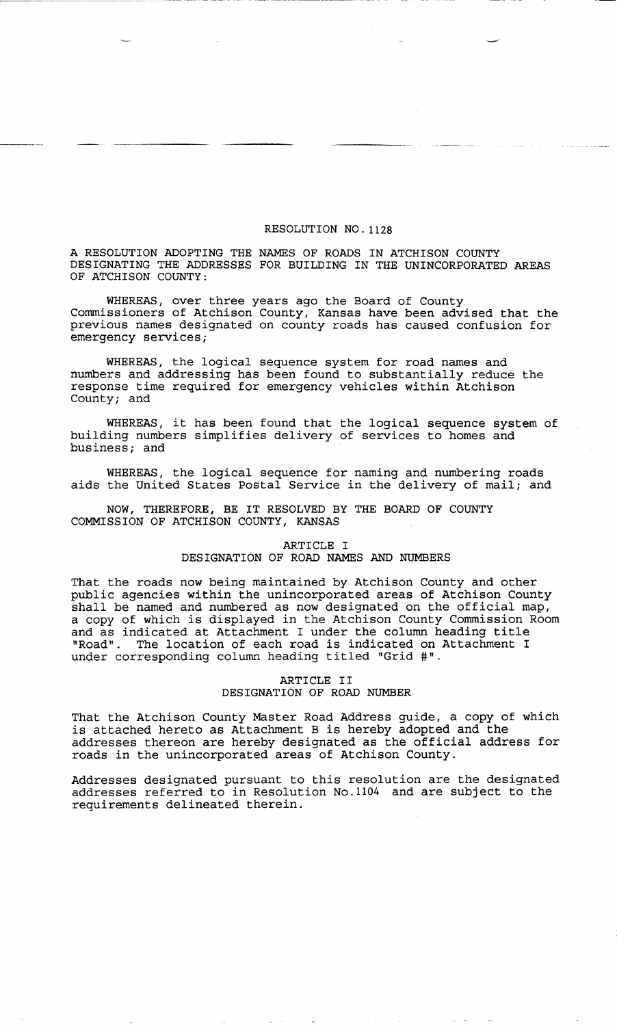## RESOLUTION NO. 1128

A RESOLUTION ADOPTING THE NAMES OF ROADS IN ATCHISON COUNTY DESIGNATING THE ADDRESSES FOR BUILDING IN THE UNINCORPORATED AREAS OF ATCHISON COUNTY:

WHEREAS, over three years ago the Board of County Commissioners of Atchison County, Kansas have been advised that the previous names designated on county roads has caused confusion for emergency services;

WHEREAS, the logical sequence system for road names and numbers and addressing has been found to substantially reduce the response time required for emergency vehicles within Atchison County; and

WHEREAS, it has been found that the logical sequence system of building numbers simplifies delivery of services to homes and business; and

WHEREAS, the logical sequence for naming and numbering roads aids the United States Postal Service in the delivery of mail; and

NOW, THEREFORE, BE IT RESOLVED BY THE BOARD OF COUNTY COMMISSION OF ATCHISON COUNTY, KANSAS

## ARTICLE I DESIGNATION OF ROAD NAMES AND NUMBERS

That the roads now being maintained by Atchison County and other public agencies within the unincorporated areas of Atchison County shall be named and numbered as now designated on the official map, a copy of which is displayed in the Atchison County Commission Room and as indicated at Attachment I under the column heading title "Road". The location of each road is indicated on Attachment I under corresponding column heading titled "Grid #".

## ARTICLE II DESIGNATION OF ROAD NUMBER

That the Atchison County Master Road Address guide, a copy of which is attached hereto as Attachment B is hereby adopted and the addresses thereon are hereby designated as the official address for roads in the unincorporated areas of Atchison County.

Addresses designated pursuant to this resolution are the designated addresses referred to in Resolution No.1104 and are subject to the requirements delineated therein.